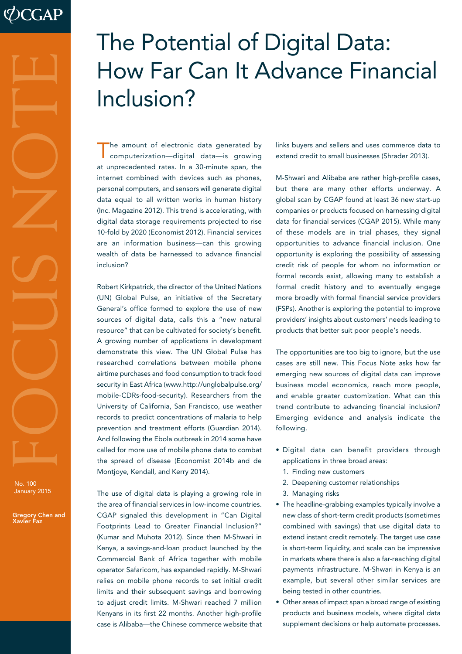# January 2015 FOCUS NOTE

No. 100

Gregory Chen and Xavier Faz

# The Potential of Digital Data: How Far Can It Advance Financial Inclusion?

he amount of electronic data generated by computerization—digital data—is growing at unprecedented rates. In a 30-minute span, the internet combined with devices such as phones, personal computers, and sensors will generate digital data equal to all written works in human history (Inc. Magazine 2012). This trend is accelerating, with digital data storage requirements projected to rise 10-fold by 2020 (Economist 2012). Financial services are an information business—can this growing wealth of data be harnessed to advance financial inclusion?

Robert Kirkpatrick, the director of the United Nations (UN) Global Pulse, an initiative of the Secretary General's office formed to explore the use of new sources of digital data, calls this a "new natural resource" that can be cultivated for society's benefit. A growing number of applications in development demonstrate this view. The UN Global Pulse has researched correlations between mobile phone airtime purchases and food consumption to track food security in East Africa (www.http://unglobalpulse.org/ mobile-CDRs-food-security). Researchers from the University of California, San Francisco, use weather records to predict concentrations of malaria to help prevention and treatment efforts (Guardian 2014). And following the Ebola outbreak in 2014 some have called for more use of mobile phone data to combat the spread of disease (Economist 2014b and de Montjoye, Kendall, and Kerry 2014).

The use of digital data is playing a growing role in the area of financial services in low-income countries. CGAP signaled this development in "Can Digital Footprints Lead to Greater Financial Inclusion?" (Kumar and Muhota 2012). Since then M-Shwari in Kenya, a savings-and-loan product launched by the Commercial Bank of Africa together with mobile operator Safaricom, has expanded rapidly. M-Shwari relies on mobile phone records to set initial credit limits and their subsequent savings and borrowing to adjust credit limits. M-Shwari reached 7 million Kenyans in its first 22 months. Another high-profile case is Alibaba—the Chinese commerce website that links buyers and sellers and uses commerce data to extend credit to small businesses (Shrader 2013).

M-Shwari and Alibaba are rather high-profile cases, but there are many other efforts underway. A global scan by CGAP found at least 36 new start-up companies or products focused on harnessing digital data for financial services (CGAP 2015). While many of these models are in trial phases, they signal opportunities to advance financial inclusion. One opportunity is exploring the possibility of assessing credit risk of people for whom no information or formal records exist, allowing many to establish a formal credit history and to eventually engage more broadly with formal financial service providers (FSPs). Another is exploring the potential to improve providers' insights about customers' needs leading to products that better suit poor people's needs.

The opportunities are too big to ignore, but the use cases are still new. This Focus Note asks how far emerging new sources of digital data can improve business model economics, reach more people, and enable greater customization. What can this trend contribute to advancing financial inclusion? Emerging evidence and analysis indicate the following.

- Digital data can benefit providers through applications in three broad areas:
	- 1. Finding new customers
	- 2. Deepening customer relationships
	- 3. Managing risks
- The headline-grabbing examples typically involve a new class of short-term credit products (sometimes combined with savings) that use digital data to extend instant credit remotely. The target use case is short-term liquidity, and scale can be impressive in markets where there is also a far-reaching digital payments infrastructure. M-Shwari in Kenya is an example, but several other similar services are being tested in other countries.
- Other areas of impact span a broad range of existing products and business models, where digital data supplement decisions or help automate processes.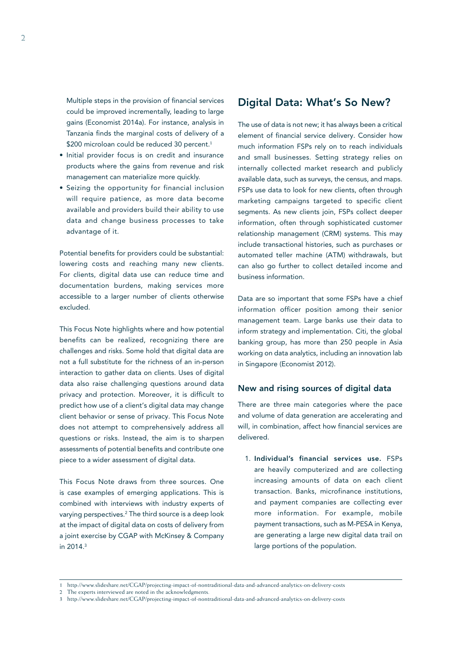Multiple steps in the provision of financial services could be improved incrementally, leading to large gains (Economist 2014a). For instance, analysis in Tanzania finds the marginal costs of delivery of a \$200 microloan could be reduced 30 percent.<sup>1</sup>

- Initial provider focus is on credit and insurance products where the gains from revenue and risk management can materialize more quickly.
- Seizing the opportunity for financial inclusion will require patience, as more data become available and providers build their ability to use data and change business processes to take advantage of it.

Potential benefits for providers could be substantial: lowering costs and reaching many new clients. For clients, digital data use can reduce time and documentation burdens, making services more accessible to a larger number of clients otherwise excluded.

This Focus Note highlights where and how potential benefits can be realized, recognizing there are challenges and risks. Some hold that digital data are not a full substitute for the richness of an in-person interaction to gather data on clients. Uses of digital data also raise challenging questions around data privacy and protection. Moreover, it is difficult to predict how use of a client's digital data may change client behavior or sense of privacy. This Focus Note does not attempt to comprehensively address all questions or risks. Instead, the aim is to sharpen assessments of potential benefits and contribute one piece to a wider assessment of digital data.

This Focus Note draws from three sources. One is case examples of emerging applications. This is combined with interviews with industry experts of varying perspectives.2 The third source is a deep look at the impact of digital data on costs of delivery from a joint exercise by CGAP with McKinsey & Company in 2014.3

# Digital Data: What's So New?

The use of data is not new; it has always been a critical element of financial service delivery. Consider how much information FSPs rely on to reach individuals and small businesses. Setting strategy relies on internally collected market research and publicly available data, such as surveys, the census, and maps. FSPs use data to look for new clients, often through marketing campaigns targeted to specific client segments. As new clients join, FSPs collect deeper information, often through sophisticated customer relationship management (CRM) systems. This may include transactional histories, such as purchases or automated teller machine (ATM) withdrawals, but can also go further to collect detailed income and business information.

Data are so important that some FSPs have a chief information officer position among their senior management team. Large banks use their data to inform strategy and implementation. Citi, the global banking group, has more than 250 people in Asia working on data analytics, including an innovation lab in Singapore (Economist 2012).

### New and rising sources of digital data

There are three main categories where the pace and volume of data generation are accelerating and will, in combination, affect how financial services are delivered.

1. Individual's financial services use. FSPs are heavily computerized and are collecting increasing amounts of data on each client transaction. Banks, microfinance institutions, and payment companies are collecting ever more information. For example, mobile payment transactions, such as M-PESA in Kenya, are generating a large new digital data trail on large portions of the population.

2 The experts interviewed are noted in the acknowledgments.

<sup>1</sup> http://www.slideshare.net/CGAP/projecting-impact-of-nontraditional-data-and-advanced-analytics-on-delivery-costs

<sup>3</sup> http://www.slideshare.net/CGAP/projecting-impact-of-nontraditional-data-and-advanced-analytics-on-delivery-costs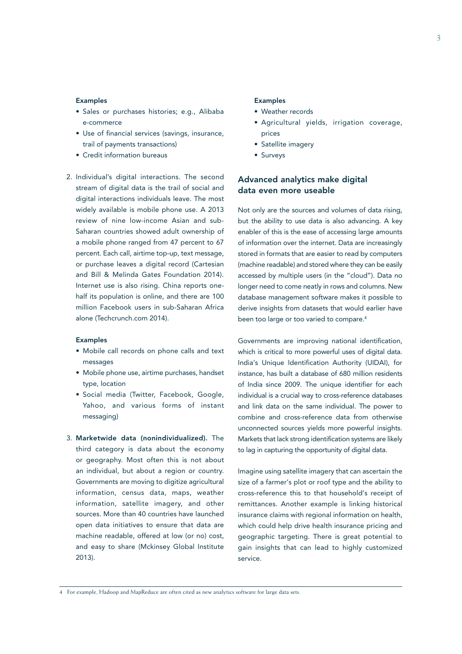### Examples

- Sales or purchases histories; e.g., Alibaba e-commerce
- Use of financial services (savings, insurance, trail of payments transactions)
- Credit information bureaus
- 2. Individual's digital interactions. The second stream of digital data is the trail of social and digital interactions individuals leave. The most widely available is mobile phone use. A 2013 review of nine low-income Asian and sub-Saharan countries showed adult ownership of a mobile phone ranged from 47 percent to 67 percent. Each call, airtime top-up, text message, or purchase leaves a digital record (Cartesian and Bill & Melinda Gates Foundation 2014). Internet use is also rising. China reports onehalf its population is online, and there are 100 million Facebook users in sub-Saharan Africa alone (Techcrunch.com 2014).

### Examples

- Mobile call records on phone calls and text messages
- Mobile phone use, airtime purchases, handset type, location
- Social media (Twitter, Facebook, Google, Yahoo, and various forms of instant messaging)
- 3. Marketwide data (nonindividualized). The third category is data about the economy or geography. Most often this is not about an individual, but about a region or country. Governments are moving to digitize agricultural information, census data, maps, weather information, satellite imagery, and other sources. More than 40 countries have launched open data initiatives to ensure that data are machine readable, offered at low (or no) cost, and easy to share (Mckinsey Global Institute 2013).

### Examples

- Weather records
- Agricultural yields, irrigation coverage, prices
- Satellite imagery
- Surveys

# Advanced analytics make digital data even more useable

Not only are the sources and volumes of data rising, but the ability to use data is also advancing. A key enabler of this is the ease of accessing large amounts of information over the internet. Data are increasingly stored in formats that are easier to read by computers (machine readable) and stored where they can be easily accessed by multiple users (in the "cloud"). Data no longer need to come neatly in rows and columns. New database management software makes it possible to derive insights from datasets that would earlier have been too large or too varied to compare.<sup>4</sup>

Governments are improving national identification, which is critical to more powerful uses of digital data. India's Unique Identification Authority (UIDAI), for instance, has built a database of 680 million residents of India since 2009. The unique identifier for each individual is a crucial way to cross-reference databases and link data on the same individual. The power to combine and cross-reference data from otherwise unconnected sources yields more powerful insights. Markets that lack strong identification systems are likely to lag in capturing the opportunity of digital data.

Imagine using satellite imagery that can ascertain the size of a farmer's plot or roof type and the ability to cross-reference this to that household's receipt of remittances. Another example is linking historical insurance claims with regional information on health, which could help drive health insurance pricing and geographic targeting. There is great potential to gain insights that can lead to highly customized service.

4 For example, Hadoop and MapReduce are often cited as new analytics software for large data sets.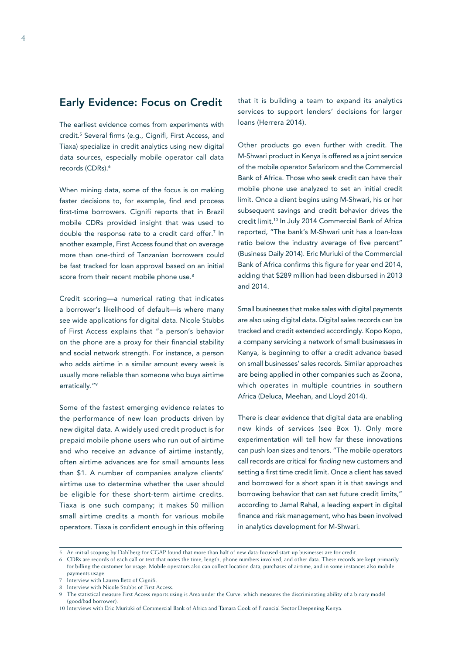# Early Evidence: Focus on Credit

The earliest evidence comes from experiments with credit.5 Several firms (e.g., Cignifi, First Access, and Tiaxa) specialize in credit analytics using new digital data sources, especially mobile operator call data records (CDRs).<sup>6</sup>

When mining data, some of the focus is on making faster decisions to, for example, find and process first-time borrowers. Cignifi reports that in Brazil mobile CDRs provided insight that was used to double the response rate to a credit card offer.<sup>7</sup> In another example, First Access found that on average more than one-third of Tanzanian borrowers could be fast tracked for loan approval based on an initial score from their recent mobile phone use.<sup>8</sup>

Credit scoring—a numerical rating that indicates a borrower's likelihood of default—is where many see wide applications for digital data. Nicole Stubbs of First Access explains that "a person's behavior on the phone are a proxy for their financial stability and social network strength. For instance, a person who adds airtime in a similar amount every week is usually more reliable than someone who buys airtime erratically."9

Some of the fastest emerging evidence relates to the performance of new loan products driven by new digital data. A widely used credit product is for prepaid mobile phone users who run out of airtime and who receive an advance of airtime instantly, often airtime advances are for small amounts less than \$1. A number of companies analyze clients' airtime use to determine whether the user should be eligible for these short-term airtime credits. Tiaxa is one such company; it makes 50 million small airtime credits a month for various mobile operators. Tiaxa is confident enough in this offering

that it is building a team to expand its analytics services to support lenders' decisions for larger loans (Herrera 2014).

Other products go even further with credit. The M-Shwari product in Kenya is offered as a joint service of the mobile operator Safaricom and the Commercial Bank of Africa. Those who seek credit can have their mobile phone use analyzed to set an initial credit limit. Once a client begins using M-Shwari, his or her subsequent savings and credit behavior drives the credit limit.<sup>10</sup> In July 2014 Commercial Bank of Africa reported, "The bank's M-Shwari unit has a loan-loss ratio below the industry average of five percent" (Business Daily 2014). Eric Muriuki of the Commercial Bank of Africa confirms this figure for year end 2014, adding that \$289 million had been disbursed in 2013 and 2014.

Small businesses that make sales with digital payments are also using digital data. Digital sales records can be tracked and credit extended accordingly. Kopo Kopo, a company servicing a network of small businesses in Kenya, is beginning to offer a credit advance based on small businesses' sales records. Similar approaches are being applied in other companies such as Zoona, which operates in multiple countries in southern Africa (Deluca, Meehan, and Lloyd 2014).

There is clear evidence that digital data are enabling new kinds of services (see Box 1). Only more experimentation will tell how far these innovations can push loan sizes and tenors. "The mobile operators call records are critical for *finding* new customers and setting a first time credit limit. Once a client has saved and borrowed for a short span it is that savings and borrowing behavior that can set future credit limits," according to Jamal Rahal, a leading expert in digital finance and risk management, who has been involved in analytics development for M-Shwari.

6 CDRs are records of each call or text that notes the time, length, phone numbers involved, and other data. These records are kept primarily for billing the customer for usage. Mobile operators also can collect location data, purchases of airtime, and in some instances also mobile payments usage.

10 Interviews with Eric Muriuki of Commercial Bank of Africa and Tamara Cook of Financial Sector Deepening Kenya.

<sup>5</sup> An initial scoping by Dahlberg for CGAP found that more than half of new data-focused start-up businesses are for credit.

Interview with Lauren Betz of Cignifi.

<sup>8</sup> Interview with Nicole Stubbs of First Access.

<sup>9</sup> The statistical measure First Access reports using is Area under the Curve, which measures the discriminating ability of a binary model (good/bad borrower).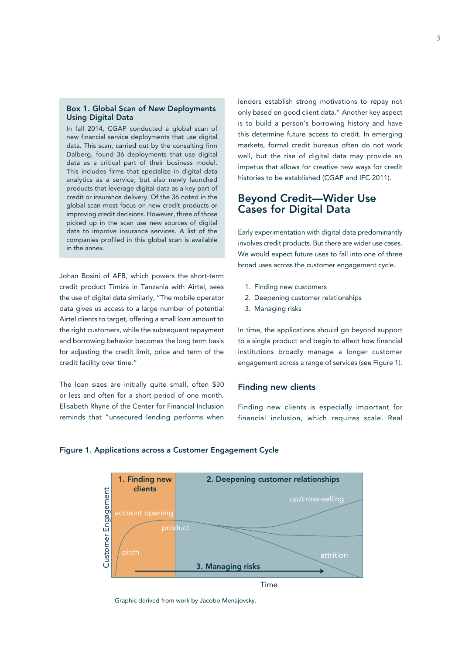### Box 1. Global Scan of New Deployments Using Digital Data

In fall 2014, CGAP conducted a global scan of new financial service deployments that use digital data. This scan, carried out by the consulting firm Dalberg, found 36 deployments that use digital data as a critical part of their business model. This includes firms that specialize in digital data analytics as a service, but also newly launched products that leverage digital data as a key part of credit or insurance delivery. Of the 36 noted in the global scan most focus on new credit products or improving credit decisions. However, three of those picked up in the scan use new sources of digital data to improve insurance services. A list of the companies profiled in this global scan is available in the annex.

Johan Bosini of AFB, which powers the short-term credit product Timiza in Tanzania with Airtel, sees the use of digital data similarly, "The mobile operator data gives us access to a large number of potential Airtel clients to target, offering a small loan amount to the right customers, while the subsequent repayment and borrowing behavior becomes the long term basis for adjusting the credit limit, price and term of the credit facility over time."

The loan sizes are initially quite small, often \$30 or less and often for a short period of one month. Elisabeth Rhyne of the Center for Financial Inclusion reminds that "unsecured lending performs when

lenders establish strong motivations to repay not only based on good client data." Another key aspect is to build a person's borrowing history and have this determine future access to credit. In emerging markets, formal credit bureaus often do not work well, but the rise of digital data may provide an impetus that allows for creative new ways for credit histories to be established (CGAP and IFC 2011).

# Beyond Credit—Wider Use Cases for Digital Data

Early experimentation with digital data predominantly involves credit products. But there are wider use cases. We would expect future uses to fall into one of three broad uses across the customer engagement cycle.

- 1. Finding new customers
- 2. Deepening customer relationships
- 3. Managing risks

In time, the applications should go beyond support to a single product and begin to affect how financial institutions broadly manage a longer customer engagement across a range of services (see Figure 1).

### Finding new clients

Finding new clients is especially important for financial inclusion, which requires scale. Real

### Figure 1. Applications across a Customer Engagement Cycle



Graphic derived from work by Jacobo Menajovsky.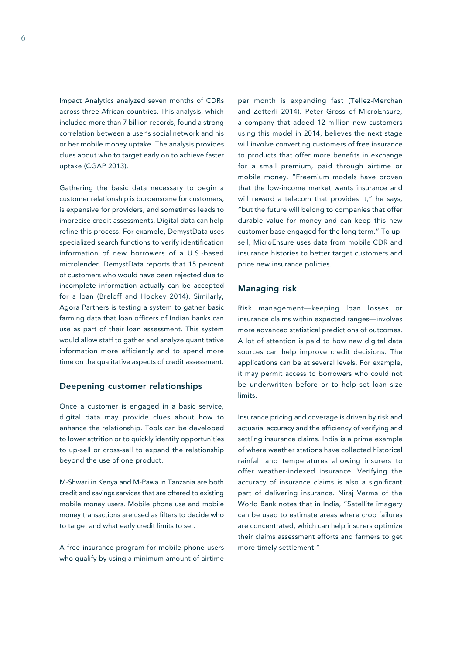Impact Analytics analyzed seven months of CDRs across three African countries. This analysis, which included more than 7 billion records, found a strong correlation between a user's social network and his or her mobile money uptake. The analysis provides clues about who to target early on to achieve faster uptake (CGAP 2013).

Gathering the basic data necessary to begin a customer relationship is burdensome for customers, is expensive for providers, and sometimes leads to imprecise credit assessments. Digital data can help refine this process. For example, DemystData uses specialized search functions to verify identification information of new borrowers of a U.S.-based microlender. DemystData reports that 15 percent of customers who would have been rejected due to incomplete information actually can be accepted for a loan (Breloff and Hookey 2014). Similarly, Agora Partners is testing a system to gather basic farming data that loan officers of Indian banks can use as part of their loan assessment. This system would allow staff to gather and analyze quantitative information more efficiently and to spend more time on the qualitative aspects of credit assessment.

### Deepening customer relationships

Once a customer is engaged in a basic service, digital data may provide clues about how to enhance the relationship. Tools can be developed to lower attrition or to quickly identify opportunities to up-sell or cross-sell to expand the relationship beyond the use of one product.

M-Shwari in Kenya and M-Pawa in Tanzania are both credit and savings services that are offered to existing mobile money users. Mobile phone use and mobile money transactions are used as filters to decide who to target and what early credit limits to set.

A free insurance program for mobile phone users who qualify by using a minimum amount of airtime

per month is expanding fast (Tellez-Merchan and Zetterli 2014). Peter Gross of MicroEnsure, a company that added 12 million new customers using this model in 2014, believes the next stage will involve converting customers of free insurance to products that offer more benefits in exchange for a small premium, paid through airtime or mobile money. "Freemium models have proven that the low-income market wants insurance and will reward a telecom that provides it," he says, "but the future will belong to companies that offer durable value for money and can keep this new customer base engaged for the long term." To upsell, MicroEnsure uses data from mobile CDR and insurance histories to better target customers and price new insurance policies.

### Managing risk

Risk management—keeping loan losses or insurance claims within expected ranges—involves more advanced statistical predictions of outcomes. A lot of attention is paid to how new digital data sources can help improve credit decisions. The applications can be at several levels. For example, it may permit access to borrowers who could not be underwritten before or to help set loan size limits.

Insurance pricing and coverage is driven by risk and actuarial accuracy and the efficiency of verifying and settling insurance claims. India is a prime example of where weather stations have collected historical rainfall and temperatures allowing insurers to offer weather-indexed insurance. Verifying the accuracy of insurance claims is also a significant part of delivering insurance. Niraj Verma of the World Bank notes that in India, "Satellite imagery can be used to estimate areas where crop failures are concentrated, which can help insurers optimize their claims assessment efforts and farmers to get more timely settlement."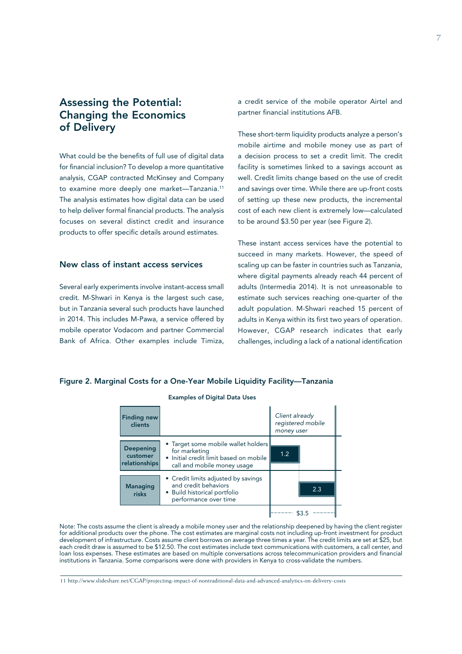# Assessing the Potential: Changing the Economics of Delivery

What could be the benefits of full use of digital data for financial inclusion? To develop a more quantitative analysis, CGAP contracted McKinsey and Company to examine more deeply one market—Tanzania.11 The analysis estimates how digital data can be used to help deliver formal financial products. The analysis focuses on several distinct credit and insurance products to offer specific details around estimates.

# New class of instant access services

Several early experiments involve instant-access small credit. M-Shwari in Kenya is the largest such case, but in Tanzania several such products have launched in 2014. This includes M-Pawa, a service offered by mobile operator Vodacom and partner Commercial Bank of Africa. Other examples include Timiza,

a credit service of the mobile operator Airtel and partner financial institutions AFB.

These short-term liquidity products analyze a person's mobile airtime and mobile money use as part of a decision process to set a credit limit. The credit facility is sometimes linked to a savings account as well. Credit limits change based on the use of credit and savings over time. While there are up-front costs of setting up these new products, the incremental cost of each new client is extremely low—calculated to be around \$3.50 per year (see Figure 2).

These instant access services have the potential to succeed in many markets. However, the speed of scaling up can be faster in countries such as Tanzania, where digital payments already reach 44 percent of adults (Intermedia 2014). It is not unreasonable to estimate such services reaching one-quarter of the adult population. M-Shwari reached 15 percent of adults in Kenya within its first two years of operation. However, CGAP research indicates that early challenges, including a lack of a national identification

### Figure 2. Marginal Costs for a One-Year Mobile Liquidity Facility—Tanzania

| <b>Examples of Digital Data Uses</b>          |                                                                                                                               |                              |                   |  |
|-----------------------------------------------|-------------------------------------------------------------------------------------------------------------------------------|------------------------------|-------------------|--|
| <b>Finding new</b><br>clients                 |                                                                                                                               | Client already<br>money user | registered mobile |  |
| <b>Deepening</b><br>customer<br>relationships | • Target some mobile wallet holders<br>for marketing<br>• Initial credit limit based on mobile<br>call and mobile money usage | 1.2                          |                   |  |
| <b>Managing</b><br>risks                      | • Credit limits adjusted by savings<br>and credit behaviors<br>• Build historical portfolio<br>performance over time          |                              | 2.3               |  |
|                                               |                                                                                                                               |                              |                   |  |

Note: The costs assume the client is already a mobile money user and the relationship deepened by having the client register for additional products over the phone. The cost estimates are marginal costs not including up-front investment for product development of infrastructure. Costs assume client borrows on average three times a year. The credit limits are set at \$25, but each credit draw is assumed to be \$12.50. The cost estimates include text communications with customers, a call center, and loan loss expenses. These estimates are based on multiple conversations across telecommunication providers and financial institutions in Tanzania. Some comparisons were done with providers in Kenya to cross-validate the numbers.

11 http://www.slideshare.net/CGAP/projecting-impact-of-nontraditional-data-and-advanced-analytics-on-delivery-costs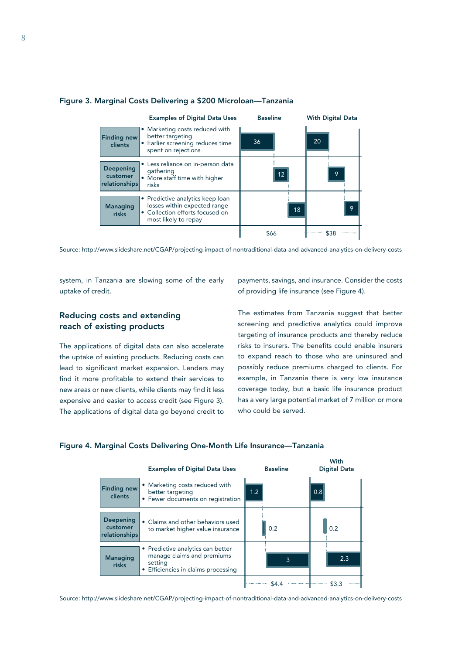

### Figure 3. Marginal Costs Delivering a \$200 Microloan—Tanzania

Source: http://www.slideshare.net/CGAP/projecting-impact-of-nontraditional-data-and-advanced-analytics-on-delivery-costs

system, in Tanzania are slowing some of the early uptake of credit.

# Reducing costs and extending reach of existing products

The applications of digital data can also accelerate the uptake of existing products. Reducing costs can lead to significant market expansion. Lenders may find it more profitable to extend their services to new areas or new clients, while clients may find it less expensive and easier to access credit (see Figure 3). The applications of digital data go beyond credit to payments, savings, and insurance. Consider the costs of providing life insurance (see Figure 4).

The estimates from Tanzania suggest that better screening and predictive analytics could improve targeting of insurance products and thereby reduce risks to insurers. The benefits could enable insurers to expand reach to those who are uninsured and possibly reduce premiums charged to clients. For example, in Tanzania there is very low insurance coverage today, but a basic life insurance product has a very large potential market of 7 million or more who could be served.

### Figure 4. Marginal Costs Delivering One-Month Life Insurance—Tanzania



Source: http://www.slideshare.net/CGAP/projecting-impact-of-nontraditional-data-and-advanced-analytics-on-delivery-costs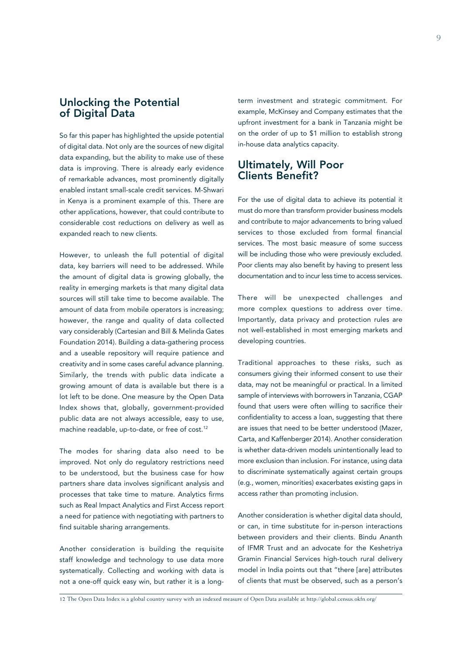# Unlocking the Potential of Digital Data

So far this paper has highlighted the upside potential of digital data. Not only are the sources of new digital data expanding, but the ability to make use of these data is improving. There is already early evidence of remarkable advances, most prominently digitally enabled instant small-scale credit services. M-Shwari in Kenya is a prominent example of this. There are other applications, however, that could contribute to considerable cost reductions on delivery as well as expanded reach to new clients.

However, to unleash the full potential of digital data, key barriers will need to be addressed. While the amount of digital data is growing globally, the reality in emerging markets is that many digital data sources will still take time to become available. The amount of data from mobile operators is increasing; however, the range and quality of data collected vary considerably (Cartesian and Bill & Melinda Gates Foundation 2014). Building a data-gathering process and a useable repository will require patience and creativity and in some cases careful advance planning. Similarly, the trends with public data indicate a growing amount of data is available but there is a lot left to be done. One measure by the Open Data Index shows that, globally, government-provided public data are not always accessible, easy to use, machine readable, up-to-date, or free of cost.<sup>12</sup>

The modes for sharing data also need to be improved. Not only do regulatory restrictions need to be understood, but the business case for how partners share data involves significant analysis and processes that take time to mature. Analytics firms such as Real Impact Analytics and First Access report a need for patience with negotiating with partners to find suitable sharing arrangements.

Another consideration is building the requisite staff knowledge and technology to use data more systematically. Collecting and working with data is not a one-off quick easy win, but rather it is a longterm investment and strategic commitment. For example, McKinsey and Company estimates that the upfront investment for a bank in Tanzania might be on the order of up to \$1 million to establish strong in-house data analytics capacity.

# Ultimately, Will Poor Clients Benefit?

For the use of digital data to achieve its potential it must do more than transform provider business models and contribute to major advancements to bring valued services to those excluded from formal financial services. The most basic measure of some success will be including those who were previously excluded. Poor clients may also benefit by having to present less documentation and to incur less time to access services.

There will be unexpected challenges and more complex questions to address over time. Importantly, data privacy and protection rules are not well-established in most emerging markets and developing countries.

Traditional approaches to these risks, such as consumers giving their informed consent to use their data, may not be meaningful or practical. In a limited sample of interviews with borrowers in Tanzania, CGAP found that users were often willing to sacrifice their confidentiality to access a loan, suggesting that there are issues that need to be better understood (Mazer, Carta, and Kaffenberger 2014). Another consideration is whether data-driven models unintentionally lead to more exclusion than inclusion. For instance, using data to discriminate systematically against certain groups (e.g., women, minorities) exacerbates existing gaps in access rather than promoting inclusion.

Another consideration is whether digital data should, or can, in time substitute for in-person interactions between providers and their clients. Bindu Ananth of IFMR Trust and an advocate for the Keshetriya Gramin Financial Services high-touch rural delivery model in India points out that "there [are] attributes of clients that must be observed, such as a person's

12 The Open Data Index is a global country survey with an indexed measure of Open Data available at http://global.census.okfn.org/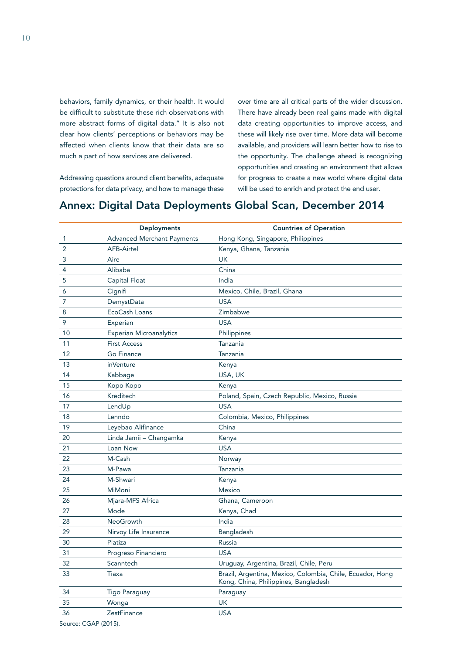behaviors, family dynamics, or their health. It would be difficult to substitute these rich observations with more abstract forms of digital data." It is also not clear how clients' perceptions or behaviors may be affected when clients know that their data are so much a part of how services are delivered.

Addressing questions around client benefits, adequate protections for data privacy, and how to manage these

over time are all critical parts of the wider discussion. There have already been real gains made with digital data creating opportunities to improve access, and these will likely rise over time. More data will become available, and providers will learn better how to rise to the opportunity. The challenge ahead is recognizing opportunities and creating an environment that allows for progress to create a new world where digital data will be used to enrich and protect the end user.

# Annex: Digital Data Deployments Global Scan, December 2014

|              | <b>Deployments</b>                | <b>Countries of Operation</b>                                                                     |
|--------------|-----------------------------------|---------------------------------------------------------------------------------------------------|
| $\mathbf{1}$ | <b>Advanced Merchant Payments</b> | Hong Kong, Singapore, Philippines                                                                 |
| 2            | <b>AFB-Airtel</b>                 | Kenya, Ghana, Tanzania                                                                            |
| 3            | Aire                              | <b>UK</b>                                                                                         |
| 4            | Alibaba                           | China                                                                                             |
| 5            | Capital Float                     | India                                                                                             |
| 6            | Cignifi                           | Mexico, Chile, Brazil, Ghana                                                                      |
| 7            | DemystData                        | <b>USA</b>                                                                                        |
| 8            | EcoCash Loans                     | Zimbabwe                                                                                          |
| 9            | Experian                          | <b>USA</b>                                                                                        |
| 10           | <b>Experian Microanalytics</b>    | Philippines                                                                                       |
| 11           | <b>First Access</b>               | Tanzania                                                                                          |
| 12           | Go Finance                        | Tanzania                                                                                          |
| 13           | inVenture                         | Kenya                                                                                             |
| 14           | Kabbage                           | USA, UK                                                                                           |
| 15           | Kopo Kopo                         | Kenya                                                                                             |
| 16           | Kreditech                         | Poland, Spain, Czech Republic, Mexico, Russia                                                     |
| 17           | LendUp                            | <b>USA</b>                                                                                        |
| 18           | Lenndo                            | Colombia, Mexico, Philippines                                                                     |
| 19           | Leyebao Alifinance                | China                                                                                             |
| 20           | Linda Jamii - Changamka           | Kenya                                                                                             |
| 21           | Loan Now                          | <b>USA</b>                                                                                        |
| 22           | M-Cash                            | Norway                                                                                            |
| 23           | M-Pawa                            | Tanzania                                                                                          |
| 24           | M-Shwari                          | Kenya                                                                                             |
| 25           | MiMoni                            | <b>Mexico</b>                                                                                     |
| 26           | Mjara-MFS Africa                  | Ghana, Cameroon                                                                                   |
| 27           | Mode                              | Kenya, Chad                                                                                       |
| 28           | <b>NeoGrowth</b>                  | India                                                                                             |
| 29           | Nirvoy Life Insurance             | Bangladesh                                                                                        |
| 30           | Platiza                           | Russia                                                                                            |
| 31           | Progreso Financiero               | <b>USA</b>                                                                                        |
| 32           | Scanntech                         | Uruguay, Argentina, Brazil, Chile, Peru                                                           |
| 33           | Tiaxa                             | Brazil, Argentina, Mexico, Colombia, Chile, Ecuador, Hong<br>Kong, China, Philippines, Bangladesh |
| 34           | <b>Tigo Paraguay</b>              | Paraguay                                                                                          |
| 35           | Wonga                             | UK                                                                                                |
| 36           | ZestFinance                       | <b>USA</b>                                                                                        |
|              |                                   |                                                                                                   |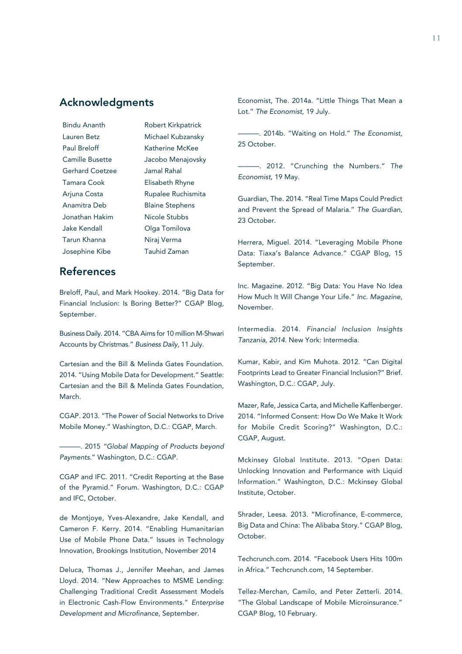# Acknowledgments

| Bindu Ananth           | Robert Kirkpatrick     |
|------------------------|------------------------|
| Lauren Betz            | Michael Kubzansky      |
| Paul Breloff           | Katherine McKee        |
| Camille Busette        | Jacobo Menajovsky      |
| <b>Gerhard Coetzee</b> | Jamal Rahal            |
| Tamara Cook            | Elisabeth Rhyne        |
| Arjuna Costa           | Rupalee Ruchismita     |
| Anamitra Deb           | <b>Blaine Stephens</b> |
| Jonathan Hakim         | Nicole Stubbs          |
| Jake Kendall           | Olga Tomilova          |
| Tarun Khanna           | Niraj Verma            |
| Josephine Kibe         | Tauhid Zaman           |
|                        |                        |

# References

Breloff, Paul, and Mark Hookey. 2014. "Big Data for Financial Inclusion: Is Boring Better?" CGAP Blog, September.

Business Daily. 2014. "CBA Aims for 10 million M-Shwari Accounts by Christmas." *Business Daily,* 11 July.

Cartesian and the Bill & Melinda Gates Foundation. 2014. "Using Mobile Data for Development." Seattle: Cartesian and the Bill & Melinda Gates Foundation, March.

CGAP. 2013. "The Power of Social Networks to Drive Mobile Money." Washington, D.C.: CGAP, March.

———. 2015 *"Global Mapping of Products beyond Payments.*" Washington, D.C.: CGAP.

CGAP and IFC. 2011. "Credit Reporting at the Base of the Pyramid." Forum. Washington, D.C.: CGAP and IFC, October.

de Montjoye, Yves-Alexandre, Jake Kendall, and Cameron F. Kerry. 2014. "Enabling Humanitarian Use of Mobile Phone Data." Issues in Technology Innovation, Brookings Institution, November 2014

Deluca, Thomas J., Jennifer Meehan, and James Lloyd. 2014. "New Approaches to MSME Lending: Challenging Traditional Credit Assessment Models in Electronic Cash-Flow Environments." *Enterprise Development and Microfinance,* September.

Economist, The. 2014a. "Little Things That Mean a Lot." *The Economist,* 19 July.

———. 2014b. "Waiting on Hold." *The Economist*, 25 October.

———. 2012. "Crunching the Numbers." *The Economist,* 19 May.

Guardian, The. 2014. "Real Time Maps Could Predict and Prevent the Spread of Malaria." *The Guardian,*  23 October.

Herrera, Miguel. 2014. "Leveraging Mobile Phone Data: Tiaxa's Balance Advance." CGAP Blog, 15 September.

Inc. Magazine. 2012. "Big Data: You Have No Idea How Much It Will Change Your Life." *Inc. Magazine,*  November.

Intermedia. 2014. *Financial Inclusion Insights Tanzania, 2014.* New York: Intermedia.

Kumar, Kabir, and Kim Muhota. 2012. "Can Digital Footprints Lead to Greater Financial Inclusion?" Brief. Washington, D.C.: CGAP, July.

Mazer, Rafe, Jessica Carta, and Michelle Kaffenberger. 2014. "Informed Consent: How Do We Make It Work for Mobile Credit Scoring?" Washington, D.C.: CGAP, August.

Mckinsey Global Institute. 2013. "Open Data: Unlocking Innovation and Performance with Liquid Information." Washington, D.C.: Mckinsey Global Institute, October.

Shrader, Leesa. 2013. "Microfinance, E-commerce, Big Data and China: The Alibaba Story." CGAP Blog, October.

Techcrunch.com. 2014. "Facebook Users Hits 100m in Africa." Techcrunch.com, 14 September.

Tellez-Merchan, Camilo, and Peter Zetterli. 2014. "The Global Landscape of Mobile Microinsurance." CGAP Blog, 10 February.